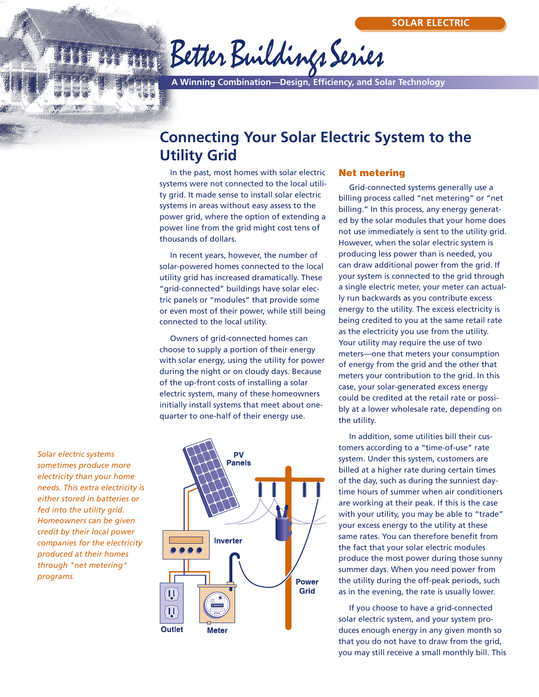# Better Buildings Series

**A Winning Combination—Design, Efficiency, and Solar Technology**

## **Connecting Your Solar Electric System to the Utility Grid**

In the past, most homes with solar electric systems were not connected to the local utility grid. It made sense to install solar electric systems in areas without easy assess to the power grid, where the option of extending a power line from the grid might cost tens of thousands of dollars.

In recent years, however, the number of solar-powered homes connected to the local utility grid has increased dramatically. These "grid-connected" buildings have solar electric panels or "modules" that provide some or even most of their power, while still being connected to the local utility.

Owners of grid-connected homes can choose to supply a portion of their energy with solar energy, using the utility for power during the night or on cloudy days. Because of the up-front costs of installing a solar electric system, many of these homeowners initially install systems that meet about onequarter to one-half of their energy use.

*Solar electric systems sometimes produce more electricity than your home needs. This extra electricity is either stored in batteries or fed into the utility grid. Homeowners can be given credit by their local power companies for the electricity produced at their homes through "net metering" programs.*



#### **Net metering**

Grid-connected systems generally use a billing process called "net metering" or "net billing." In this process, any energy generated by the solar modules that your home does not use immediately is sent to the utility grid. However, when the solar electric system is producing less power than is needed, you can draw additional power from the grid. If your system is connected to the grid through a single electric meter, your meter can actually run backwards as you contribute excess energy to the utility. The excess electricity is being credited to you at the same retail rate as the electricity you use from the utility. Your utility may require the use of two meters—one that meters your consumption of energy from the grid and the other that meters your contribution to the grid. In this case, your solar-generated excess energy could be credited at the retail rate or possibly at a lower wholesale rate, depending on the utility.

In addition, some utilities bill their customers according to a "time-of-use" rate system. Under this system, customers are billed at a higher rate during certain times of the day, such as during the sunniest daytime hours of summer when air conditioners are working at their peak. If this is the case with your utility, you may be able to "trade" your excess energy to the utility at these same rates. You can therefore benefit from the fact that your solar electric modules produce the most power during those sunny summer days. When you need power from the utility during the off-peak periods, such as in the evening, the rate is usually lower.

If you choose to have a grid-connected solar electric system, and your system produces enough energy in any given month so that you do not have to draw from the grid, you may still receive a small monthly bill. This